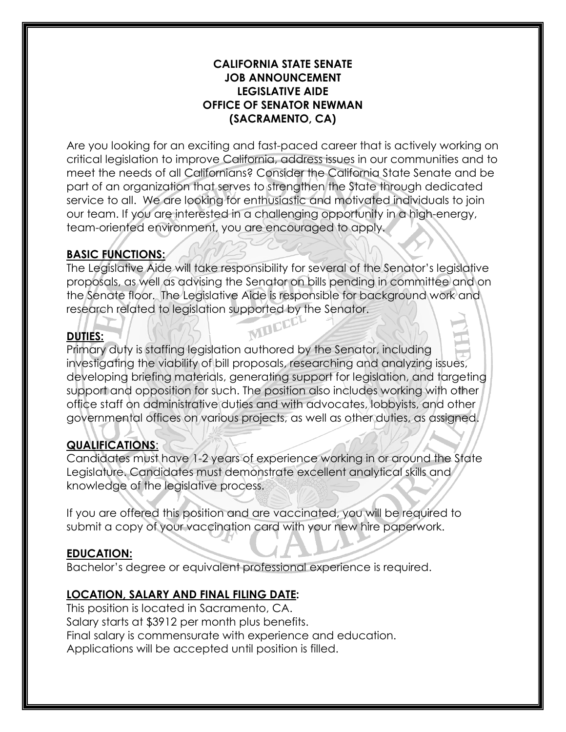#### **CALIFORNIA STATE SENATE JOB ANNOUNCEMENT LEGISLATIVE AIDE OFFICE OF SENATOR NEWMAN (SACRAMENTO, CA)**

Are you looking for an exciting and fast-paced career that is actively working on critical legislation to improve California, address issues in our communities and to meet the needs of all Californians? Consider the California State Senate and be part of an organization that serves to strengthen the State through dedicated service to all. We are looking for enthusiastic and motivated individuals to join our team. If you are interested in a challenging opportunity in a high-energy, team-oriented environment, you are encouraged to apply.

# **BASIC FUNCTIONS:**

The Legislative Aide will take responsibility for several of the Senator's legislative proposals, as well as advising the Senator on bills pending in committee and on the Senate floor. The Legislative Aide is responsible for background work and research related to legislation supported by the Senator.<br>DUTIES:

# **DUTIES:**

Primary duty is staffing legislation authored by the Senator, including investigating the viability of bill proposals, researching and analyzing issues, developing briefing materials, generating support for legislation, and targeting support and opposition for such. The position also includes working with other office staff on administrative duties and with advocates, lobbyists, and other governmental offices on various projects, as well as other duties, as assigned.

### **QUALIFICATIONS**:

Candidates must have 1-2 years of experience working in or around the State Legislature. Candidates must demonstrate excellent analytical skills and knowledge of the legislative process.

If you are offered this position and are vaccinated, you will be required to submit a copy of your vaccination card with your new hire paperwork.

### **EDUCATION:**

Bachelor's degree or equivalent professional experience is required.

### **LOCATION, SALARY AND FINAL FILING DATE:**

This position is located in Sacramento, CA. Salary starts at \$3912 per month plus benefits. Final salary is commensurate with experience and education. Applications will be accepted until position is filled.